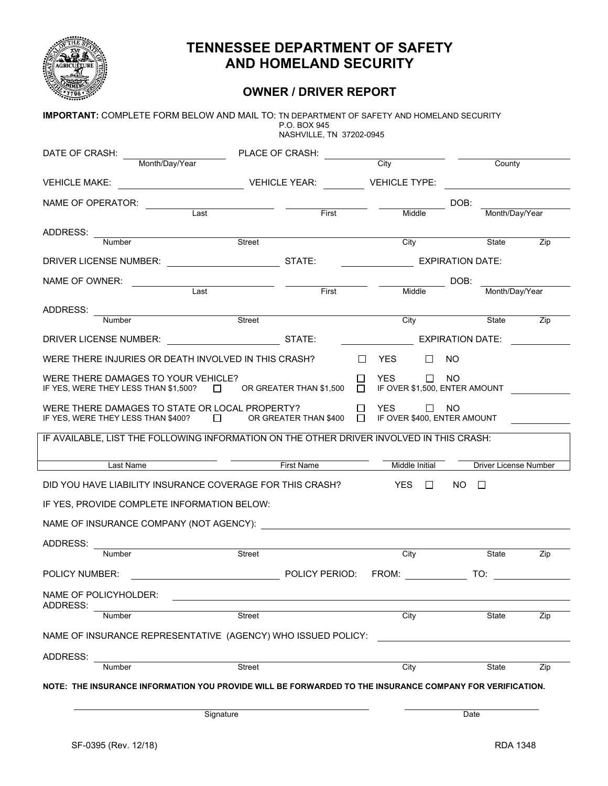

# **TENNESSEE DEPARTMENT OF SAFETY AND HOMELAND SECURITY**

### **OWNER / DRIVER REPORT**

| <b>IMPORTANT:</b> COMPLETE FORM BELOW AND MAIL TO: TN DEPARTMENT OF SAFETY AND HOMELAND SECURITY                                                     |               | P.O. BOX 945             |        |                                             |                                  |     |
|------------------------------------------------------------------------------------------------------------------------------------------------------|---------------|--------------------------|--------|---------------------------------------------|----------------------------------|-----|
|                                                                                                                                                      |               | NASHVILLE, TN 37202-0945 |        |                                             |                                  |     |
| DATE OF CRASH:<br>Month/Day/Year                                                                                                                     |               | PLACE OF CRASH:          |        | City                                        | County                           |     |
| VEHICLE MAKE: VEHICLE YEAR: VEHICLE YEAR:                                                                                                            |               |                          |        |                                             | VEHICLE TYPE: WELL ARE AN ARRIVE |     |
| NAME OF OPERATOR:                                                                                                                                    |               |                          |        |                                             | DOB:                             |     |
|                                                                                                                                                      | Last          | First <b>Theorem</b>     |        | Middle                                      | Month/Day/Year                   |     |
| ADDRESS:<br><u> 1980 - Jan Samuel Barbara, poeta esperanto-</u>                                                                                      |               |                          |        |                                             |                                  |     |
| Number                                                                                                                                               | Street        |                          |        | City                                        | State                            | Zip |
| DRIVER LICENSE NUMBER: STATE:                                                                                                                        |               |                          |        | <b>EXPIRATION DATE:</b>                     |                                  |     |
| NAME OF OWNER:                                                                                                                                       |               |                          |        |                                             | DOB:                             |     |
|                                                                                                                                                      | Last          | First                    |        | Middle                                      | Month/Day/Year                   |     |
| ADDRESS:                                                                                                                                             |               | Street <b>Street</b>     |        |                                             |                                  |     |
| <b>Number</b>                                                                                                                                        |               |                          |        |                                             | City State                       | Zip |
| DRIVER LICENSE NUMBER:                                                                                                                               |               |                          |        | STATE: EXPIRATION DATE:                     |                                  |     |
| WERE THERE INJURIES OR DEATH INVOLVED IN THIS CRASH?                                                                                                 |               |                          |        | $\Box$ YES                                  | $\Box$ NO                        |     |
| WERE THERE DAMAGES TO YOUR VEHICLE?<br>IF YES, WERE THEY LESS THAN \$1,500? $\Box$ OR GREATER THAN \$1,500                                           |               |                          | $\Box$ | <b>YES</b><br>IF OVER \$1,500, ENTER AMOUNT | $\Box$ NO                        |     |
| WERE THERE DAMAGES TO STATE OR LOCAL PROPERTY?<br>IF YES, WERE THEY LESS THAN \$400? $\Box$ OR GREATER THAN \$400 $\Box$ IF OVER \$400, ENTER AMOUNT |               |                          | $\Box$ | <b>YES</b>                                  | $\Box$ NO                        |     |
| IF AVAILABLE, LIST THE FOLLOWING INFORMATION ON THE OTHER DRIVER INVOLVED IN THIS CRASH:                                                             |               |                          |        |                                             |                                  |     |
|                                                                                                                                                      |               |                          |        |                                             |                                  |     |
| Last Name                                                                                                                                            | First Name    |                          |        | Middle Initial                              | Driver License Number            |     |
| DID YOU HAVE LIABILITY INSURANCE COVERAGE FOR THIS CRASH? YES DINO                                                                                   |               |                          |        |                                             |                                  |     |
| IF YES, PROVIDE COMPLETE INFORMATION BELOW:                                                                                                          |               |                          |        |                                             |                                  |     |
|                                                                                                                                                      |               |                          |        |                                             |                                  |     |
| ADDRESS:                                                                                                                                             |               |                          |        |                                             |                                  |     |
| Number                                                                                                                                               | Street        |                          |        | City                                        | State                            | Zip |
| POLICY NUMBER:                                                                                                                                       |               |                          |        | POLICY PERIOD: FROM:                        | TO:                              |     |
| NAME OF POLICYHOLDER:                                                                                                                                |               |                          |        |                                             |                                  |     |
| ADDRESS:<br>Number                                                                                                                                   | Street        |                          |        | City                                        | State                            | Zip |
| NAME OF INSURANCE REPRESENTATIVE (AGENCY) WHO ISSUED POLICY:                                                                                         |               |                          |        |                                             |                                  |     |
|                                                                                                                                                      |               |                          |        |                                             |                                  |     |
| ADDRESS:<br>Number                                                                                                                                   | <b>Street</b> |                          |        | City                                        | State                            | Zip |
|                                                                                                                                                      |               |                          |        |                                             |                                  |     |
| NOTE: THE INSURANCE INFORMATION YOU PROVIDE WILL BE FORWARDED TO THE INSURANCE COMPANY FOR VERIFICATION.                                             |               |                          |        |                                             |                                  |     |
| Signature                                                                                                                                            |               |                          |        |                                             | Date                             |     |